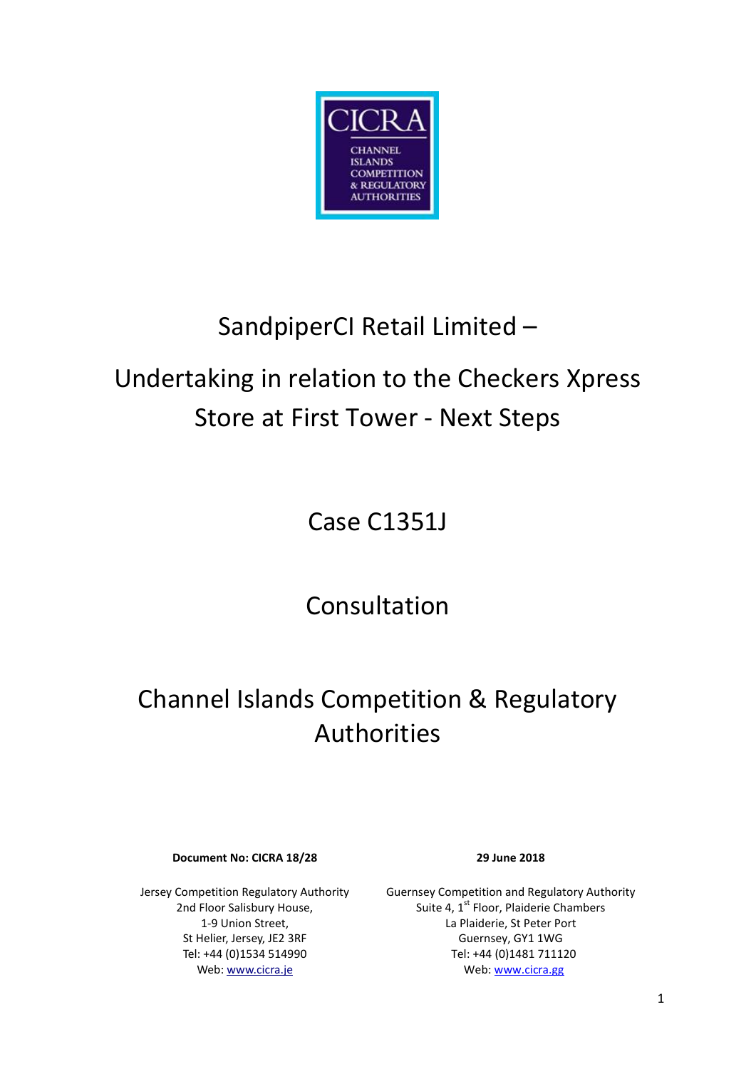

## SandpiperCI Retail Limited –

# Undertaking in relation to the Checkers Xpress Store at First Tower - Next Steps

Case C1351J

Consultation

## Channel Islands Competition & Regulatory Authorities

**Document No: CICRA 18/28 29 June 2018**

Jersey Competition Regulatory Authority 2nd Floor Salisbury House, 1-9 Union Street, St Helier, Jersey, JE2 3RF Tel: +44 (0)1534 514990 Web[: www.cicra.je](http://www.cicra.je/)

Guernsey Competition and Regulatory Authority Suite 4, 1<sup>st</sup> Floor, Plaiderie Chambers La Plaiderie, St Peter Port Guernsey, GY1 1WG Tel: +44 (0)1481 711120 Web[: www.cicra.gg](http://www.cicra.gg/)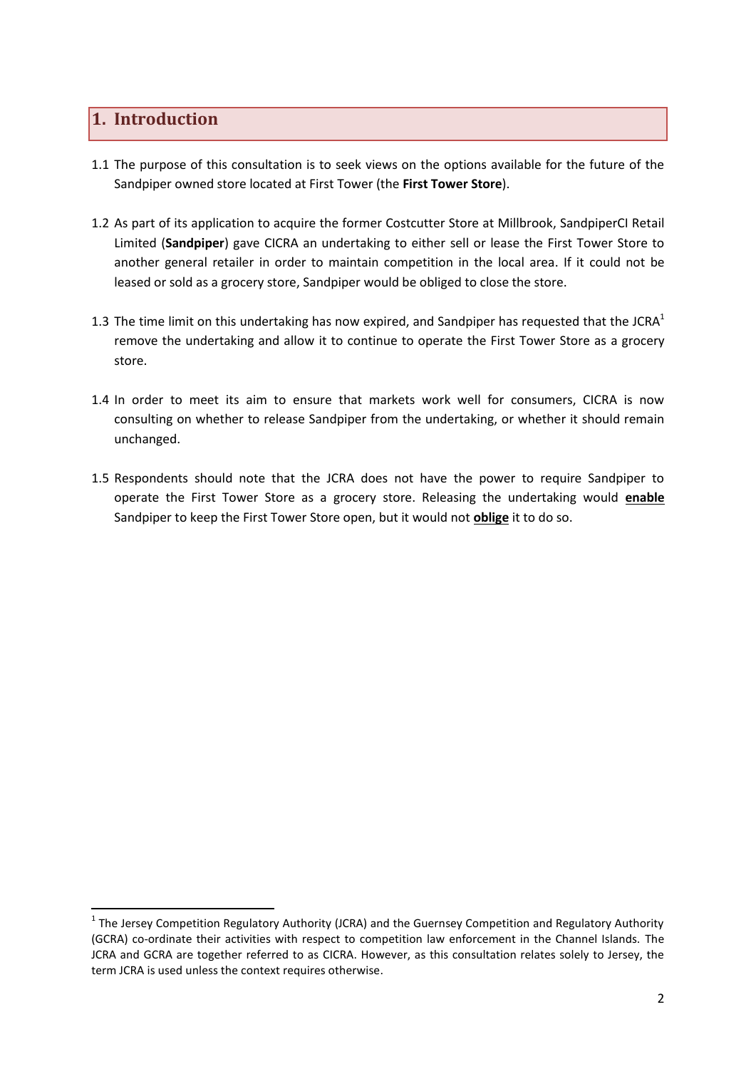#### **1. Introduction**

1

- 1.1 The purpose of this consultation is to seek views on the options available for the future of the Sandpiper owned store located at First Tower (the **First Tower Store**).
- 1.2 As part of its application to acquire the former Costcutter Store at Millbrook, SandpiperCI Retail Limited (**Sandpiper**) gave CICRA an undertaking to either sell or lease the First Tower Store to another general retailer in order to maintain competition in the local area. If it could not be leased or sold as a grocery store, Sandpiper would be obliged to close the store.
- 1.3 The time limit on this undertaking has now expired, and Sandpiper has requested that the JCRA<sup>1</sup> remove the undertaking and allow it to continue to operate the First Tower Store as a grocery store.
- 1.4 In order to meet its aim to ensure that markets work well for consumers, CICRA is now consulting on whether to release Sandpiper from the undertaking, or whether it should remain unchanged.
- 1.5 Respondents should note that the JCRA does not have the power to require Sandpiper to operate the First Tower Store as a grocery store. Releasing the undertaking would **enable** Sandpiper to keep the First Tower Store open, but it would not **oblige** it to do so.

 $1$  The Jersey Competition Regulatory Authority (JCRA) and the Guernsey Competition and Regulatory Authority (GCRA) co-ordinate their activities with respect to competition law enforcement in the Channel Islands. The JCRA and GCRA are together referred to as CICRA. However, as this consultation relates solely to Jersey, the term JCRA is used unless the context requires otherwise.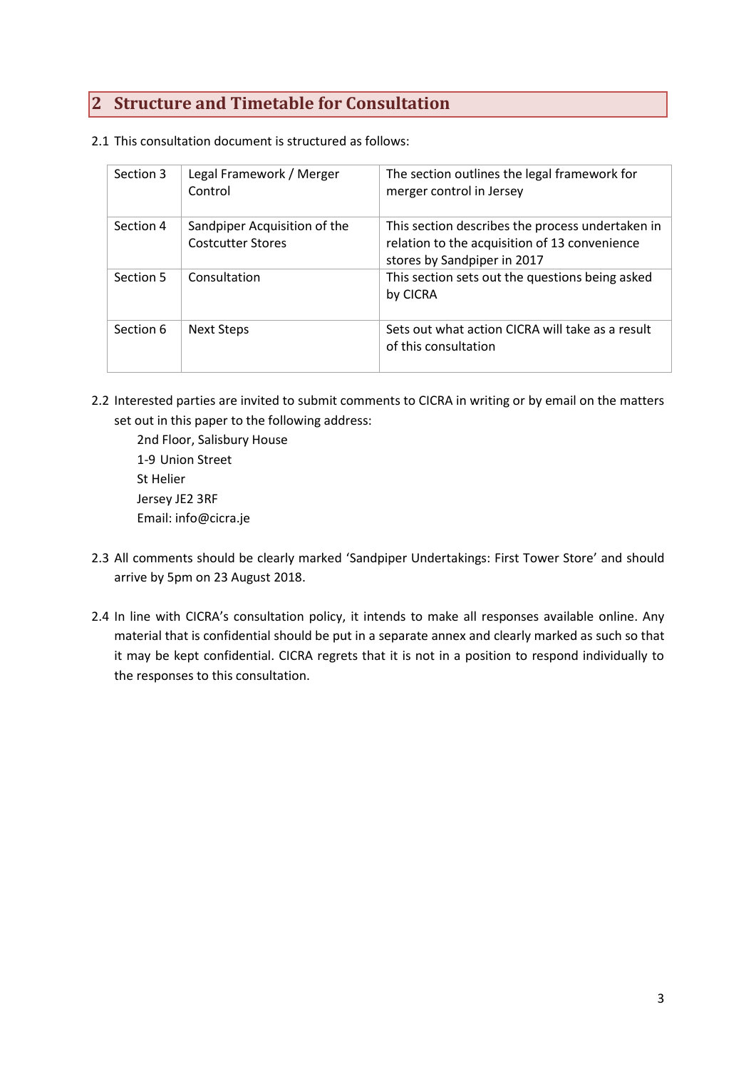### **2 Structure and Timetable for Consultation**

2.1 This consultation document is structured as follows:

| Section 3 | Legal Framework / Merger<br>Control                      | The section outlines the legal framework for<br>merger control in Jersey                                                         |
|-----------|----------------------------------------------------------|----------------------------------------------------------------------------------------------------------------------------------|
| Section 4 | Sandpiper Acquisition of the<br><b>Costcutter Stores</b> | This section describes the process undertaken in<br>relation to the acquisition of 13 convenience<br>stores by Sandpiper in 2017 |
| Section 5 | Consultation                                             | This section sets out the questions being asked<br>by CICRA                                                                      |
| Section 6 | Next Steps                                               | Sets out what action CICRA will take as a result<br>of this consultation                                                         |

2.2 Interested parties are invited to submit comments to CICRA in writing or by email on the matters set out in this paper to the following address:

2nd Floor, Salisbury House 1-9 Union Street St Helier Jersey JE2 3RF Email: info@cicra.je

- 2.3 All comments should be clearly marked 'Sandpiper Undertakings: First Tower Store' and should arrive by 5pm on 23 August 2018.
- 2.4 In line with CICRA's consultation policy, it intends to make all responses available online. Any material that is confidential should be put in a separate annex and clearly marked as such so that it may be kept confidential. CICRA regrets that it is not in a position to respond individually to the responses to this consultation.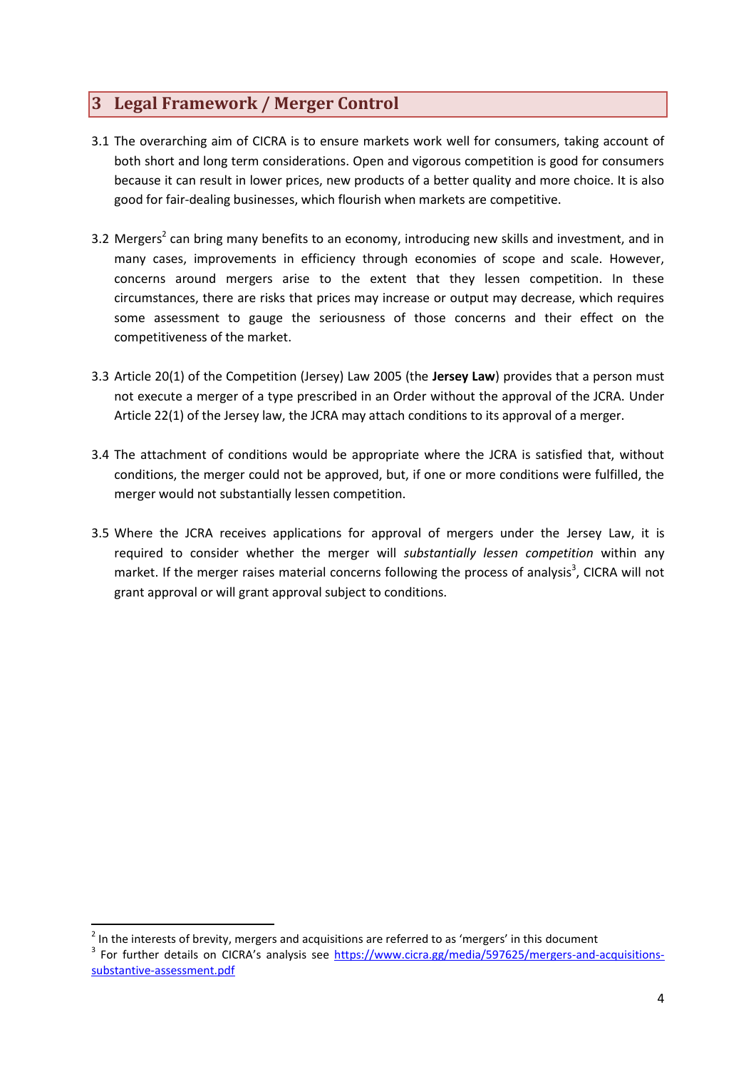### **3 Legal Framework / Merger Control**

- 3.1 The overarching aim of CICRA is to ensure markets work well for consumers, taking account of both short and long term considerations. Open and vigorous competition is good for consumers because it can result in lower prices, new products of a better quality and more choice. It is also good for fair-dealing businesses, which flourish when markets are competitive.
- 3.2 Mergers<sup>2</sup> can bring many benefits to an economy, introducing new skills and investment, and in many cases, improvements in efficiency through economies of scope and scale. However, concerns around mergers arise to the extent that they lessen competition. In these circumstances, there are risks that prices may increase or output may decrease, which requires some assessment to gauge the seriousness of those concerns and their effect on the competitiveness of the market.
- 3.3 Article 20(1) of the Competition (Jersey) Law 2005 (the **Jersey Law**) provides that a person must not execute a merger of a type prescribed in an Order without the approval of the JCRA. Under Article 22(1) of the Jersey law, the JCRA may attach conditions to its approval of a merger.
- 3.4 The attachment of conditions would be appropriate where the JCRA is satisfied that, without conditions, the merger could not be approved, but, if one or more conditions were fulfilled, the merger would not substantially lessen competition.
- 3.5 Where the JCRA receives applications for approval of mergers under the Jersey Law, it is required to consider whether the merger will *substantially lessen competition* within any market. If the merger raises material concerns following the process of analysis<sup>3</sup>, CICRA will not grant approval or will grant approval subject to conditions.

**.** 

 $2$  In the interests of brevity, mergers and acquisitions are referred to as 'mergers' in this document <sup>3</sup> For further details on CICRA's analysis see [https://www.cicra.gg/media/597625/mergers-and-acquisitions](https://www.cicra.gg/media/597625/mergers-and-acquisitions-substantive-assessment.pdf)[substantive-assessment.pdf](https://www.cicra.gg/media/597625/mergers-and-acquisitions-substantive-assessment.pdf)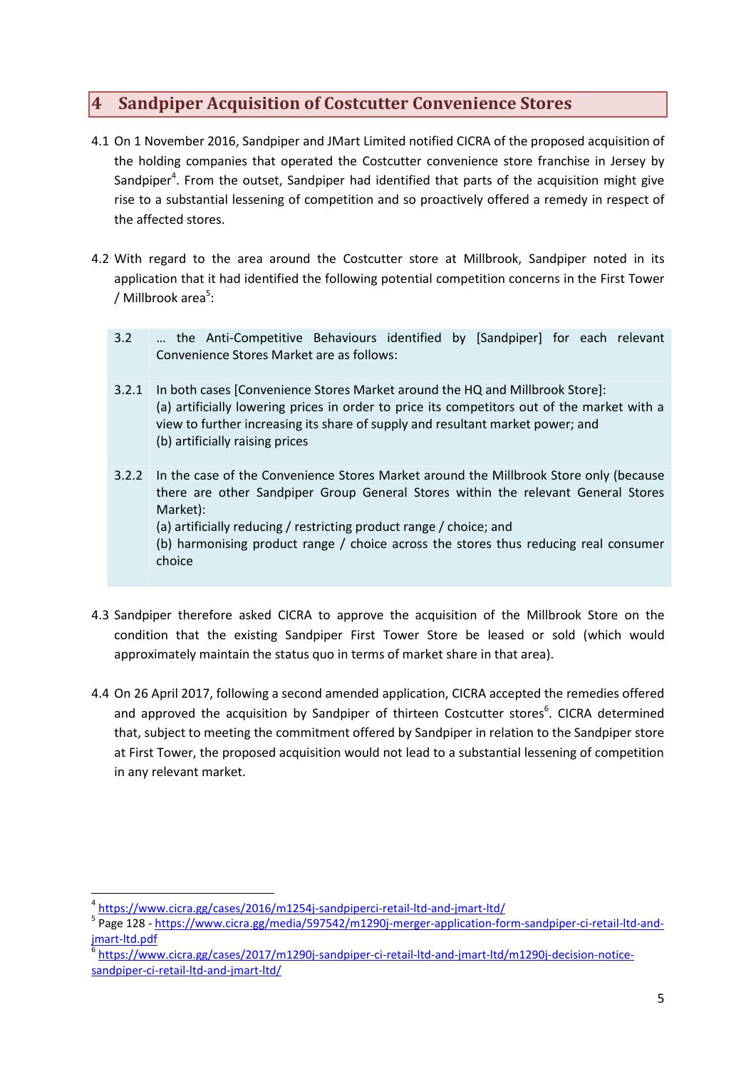#### **4 Sandpiper Acquisition of Costcutter Convenience Stores**

- 4.1 On 1 November 2016, Sandpiper and JMart Limited notified CICRA of the proposed acquisition of the holding companies that operated the Costcutter convenience store franchise in Jersey by Sandpiper<sup>4</sup>. From the outset, Sandpiper had identified that parts of the acquisition might give rise to a substantial lessening of competition and so proactively offered a remedy in respect of the affected stores.
- 4.2 With regard to the area around the Costcutter store at Millbrook, Sandpiper noted in its application that it had identified the following potential competition concerns in the First Tower / Millbrook area<sup>5</sup>:
	- 3.2 … the Anti-Competitive Behaviours identified by [Sandpiper] for each relevant Convenience Stores Market are as follows:
	- 3.2.1 In both cases [Convenience Stores Market around the HQ and Millbrook Store]: (a) artificially lowering prices in order to price its competitors out of the market with a view to further increasing its share of supply and resultant market power; and (b) artificially raising prices
	- 3.2.2 In the case of the Convenience Stores Market around the Millbrook Store only (because there are other Sandpiper Group General Stores within the relevant General Stores Market): (a) artificially reducing / restricting product range / choice; and (b) harmonising product range / choice across the stores thus reducing real consumer choice
- 4.3 Sandpiper therefore asked CICRA to approve the acquisition of the Millbrook Store on the condition that the existing Sandpiper First Tower Store be leased or sold (which would approximately maintain the status quo in terms of market share in that area).
- 4.4 On 26 April 2017, following a second amended application, CICRA accepted the remedies offered and approved the acquisition by Sandpiper of thirteen Costcutter stores<sup>6</sup>. CICRA determined that, subject to meeting the commitment offered by Sandpiper in relation to the Sandpiper store at First Tower, the proposed acquisition would not lead to a substantial lessening of competition in any relevant market.

 $\overline{a}$ 

<sup>4</sup> <https://www.cicra.gg/cases/2016/m1254j-sandpiperci-retail-ltd-and-jmart-ltd/>

<sup>&</sup>lt;sup>5</sup> Page 128 - [https://www.cicra.gg/media/597542/m1290j-merger-application-form-sandpiper-ci-retail-ltd-and](https://www.cicra.gg/media/597542/m1290j-merger-application-form-sandpiper-ci-retail-ltd-and-jmart-ltd.pdf)[jmart-ltd.pdf](https://www.cicra.gg/media/597542/m1290j-merger-application-form-sandpiper-ci-retail-ltd-and-jmart-ltd.pdf)

<sup>6</sup> [https://www.cicra.gg/cases/2017/m1290j-sandpiper-ci-retail-ltd-and-jmart-ltd/m1290j-decision-notice](https://www.cicra.gg/cases/2017/m1290j-sandpiper-ci-retail-ltd-and-jmart-ltd/m1290j-decision-notice-sandpiper-ci-retail-ltd-and-jmart-ltd/)[sandpiper-ci-retail-ltd-and-jmart-ltd/](https://www.cicra.gg/cases/2017/m1290j-sandpiper-ci-retail-ltd-and-jmart-ltd/m1290j-decision-notice-sandpiper-ci-retail-ltd-and-jmart-ltd/)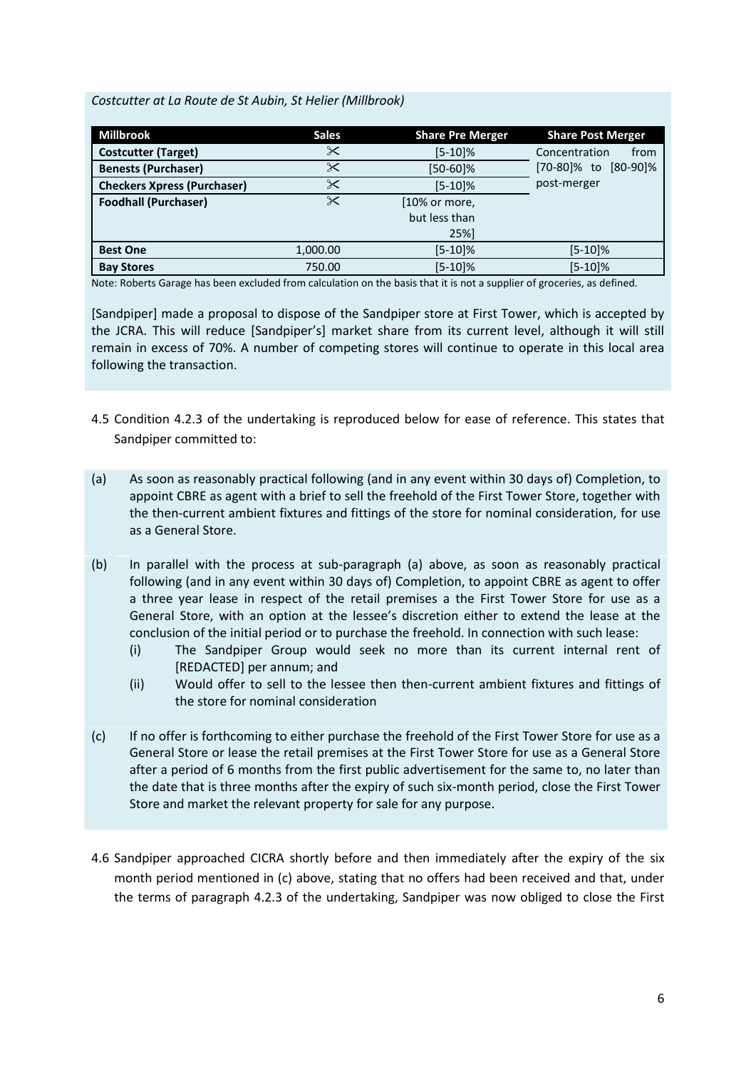#### *Costcutter at La Route de St Aubin, St Helier (Millbrook)*

| <b>Millbrook</b>                   | <b>Sales</b> | <b>Share Pre Merger</b> | <b>Share Post Merger</b> |
|------------------------------------|--------------|-------------------------|--------------------------|
| <b>Costcutter (Target)</b>         | ✕            | $[5-10]%$               | Concentration<br>from    |
| <b>Benests (Purchaser)</b>         | ✕            | $[50-60]\%$             | [70-80]% to<br>[80-90]%  |
| <b>Checkers Xpress (Purchaser)</b> | $\times$     | $[5-10]%$               | post-merger              |
| <b>Foodhall (Purchaser)</b>        | $\times$     | [10% or more,           |                          |
|                                    |              | but less than           |                          |
|                                    |              | 25%]                    |                          |
| <b>Best One</b>                    | 1,000.00     | $[5-10]\%$              | $[5-10]\%$               |
| <b>Bay Stores</b>                  | 750.00       | $[5-10]\%$              | $[5-10]\%$               |

Note: Roberts Garage has been excluded from calculation on the basis that it is not a supplier of groceries, as defined.

[Sandpiper] made a proposal to dispose of the Sandpiper store at First Tower, which is accepted by the JCRA. This will reduce [Sandpiper's] market share from its current level, although it will still remain in excess of 70%. A number of competing stores will continue to operate in this local area following the transaction.

- 4.5 Condition 4.2.3 of the undertaking is reproduced below for ease of reference. This states that Sandpiper committed to:
- (a) As soon as reasonably practical following (and in any event within 30 days of) Completion, to appoint CBRE as agent with a brief to sell the freehold of the First Tower Store, together with the then-current ambient fixtures and fittings of the store for nominal consideration, for use as a General Store.
- (b) In parallel with the process at sub-paragraph (a) above, as soon as reasonably practical following (and in any event within 30 days of) Completion, to appoint CBRE as agent to offer a three year lease in respect of the retail premises a the First Tower Store for use as a General Store, with an option at the lessee's discretion either to extend the lease at the conclusion of the initial period or to purchase the freehold. In connection with such lease:
	- (i) The Sandpiper Group would seek no more than its current internal rent of [REDACTED] per annum; and
	- (ii) Would offer to sell to the lessee then then-current ambient fixtures and fittings of the store for nominal consideration
- (c) If no offer is forthcoming to either purchase the freehold of the First Tower Store for use as a General Store or lease the retail premises at the First Tower Store for use as a General Store after a period of 6 months from the first public advertisement for the same to, no later than the date that is three months after the expiry of such six-month period, close the First Tower Store and market the relevant property for sale for any purpose.
- 4.6 Sandpiper approached CICRA shortly before and then immediately after the expiry of the six month period mentioned in (c) above, stating that no offers had been received and that, under the terms of paragraph 4.2.3 of the undertaking, Sandpiper was now obliged to close the First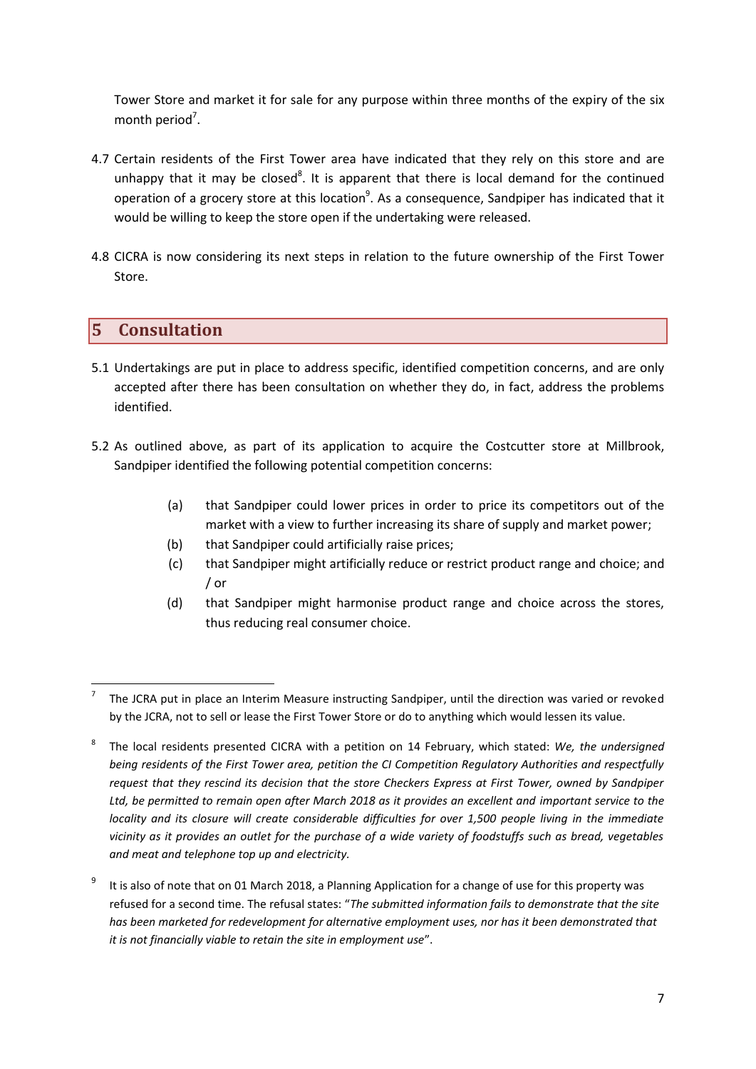Tower Store and market it for sale for any purpose within three months of the expiry of the six month period<sup>7</sup>.

- 4.7 Certain residents of the First Tower area have indicated that they rely on this store and are unhappy that it may be closed<sup>8</sup>. It is apparent that there is local demand for the continued operation of a grocery store at this location<sup>9</sup>. As a consequence, Sandpiper has indicated that it would be willing to keep the store open if the undertaking were released.
- 4.8 CICRA is now considering its next steps in relation to the future ownership of the First Tower Store.

#### **5 Consultation**

- 5.1 Undertakings are put in place to address specific, identified competition concerns, and are only accepted after there has been consultation on whether they do, in fact, address the problems identified.
- 5.2 As outlined above, as part of its application to acquire the Costcutter store at Millbrook, Sandpiper identified the following potential competition concerns:
	- (a) that Sandpiper could lower prices in order to price its competitors out of the market with a view to further increasing its share of supply and market power;
	- (b) that Sandpiper could artificially raise prices;
	- (c) that Sandpiper might artificially reduce or restrict product range and choice; and / or
	- (d) that Sandpiper might harmonise product range and choice across the stores, thus reducing real consumer choice.

 $\overline{a}$ 7 The JCRA put in place an Interim Measure instructing Sandpiper, until the direction was varied or revoked by the JCRA, not to sell or lease the First Tower Store or do to anything which would lessen its value.

<sup>8</sup> The local residents presented CICRA with a petition on 14 February, which stated: *We, the undersigned being residents of the First Tower area, petition the CI Competition Regulatory Authorities and respectfully request that they rescind its decision that the store Checkers Express at First Tower, owned by Sandpiper Ltd, be permitted to remain open after March 2018 as it provides an excellent and important service to the locality and its closure will create considerable difficulties for over 1,500 people living in the immediate vicinity as it provides an outlet for the purchase of a wide variety of foodstuffs such as bread, vegetables and meat and telephone top up and electricity.*

<sup>9</sup> It is also of note that on 01 March 2018, a Planning Application for a change of use for this property was refused for a second time. The refusal states: "*The submitted information fails to demonstrate that the site has been marketed for redevelopment for alternative employment uses, nor has it been demonstrated that it is not financially viable to retain the site in employment use*".